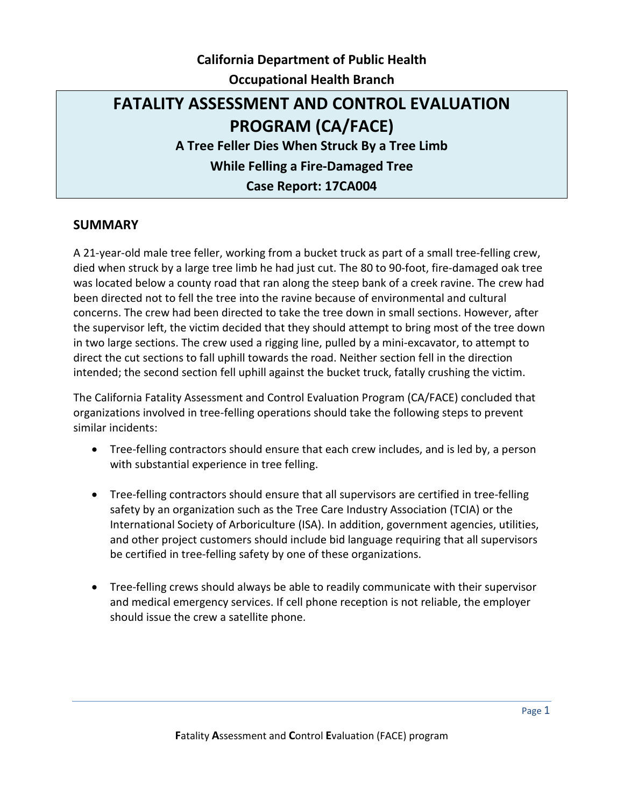# **California Department of Public Health Occupational Health Branch**

# **FATALITY ASSESSMENT AND CONTROL EVALUATION PROGRAM (CA/FACE) A Tree Feller Dies When Struck By a Tree Limb While Felling a Fire-Damaged Tree Case Report: 17CA004**

### **SUMMARY**

A 21-year-old male tree feller, working from a bucket truck as part of a small tree-felling crew, died when struck by a large tree limb he had just cut. The 80 to 90-foot, fire-damaged oak tree was located below a county road that ran along the steep bank of a creek ravine. The crew had been directed not to fell the tree into the ravine because of environmental and cultural concerns. The crew had been directed to take the tree down in small sections. However, after the supervisor left, the victim decided that they should attempt to bring most of the tree down in two large sections. The crew used a rigging line, pulled by a mini-excavator, to attempt to direct the cut sections to fall uphill towards the road. Neither section fell in the direction intended; the second section fell uphill against the bucket truck, fatally crushing the victim.

The California Fatality Assessment and Control Evaluation Program (CA/FACE) concluded that organizations involved in tree-felling operations should take the following steps to prevent similar incidents:

- Tree-felling contractors should ensure that each crew includes, and is led by, a person with substantial experience in tree felling.
- Tree-felling contractors should ensure that all supervisors are certified in tree-felling safety by an organization such as the Tree Care Industry Association (TCIA) or the International Society of Arboriculture (ISA). In addition, government agencies, utilities, and other project customers should include bid language requiring that all supervisors be certified in tree-felling safety by one of these organizations.
- Tree-felling crews should always be able to readily communicate with their supervisor and medical emergency services. If cell phone reception is not reliable, the employer should issue the crew a satellite phone.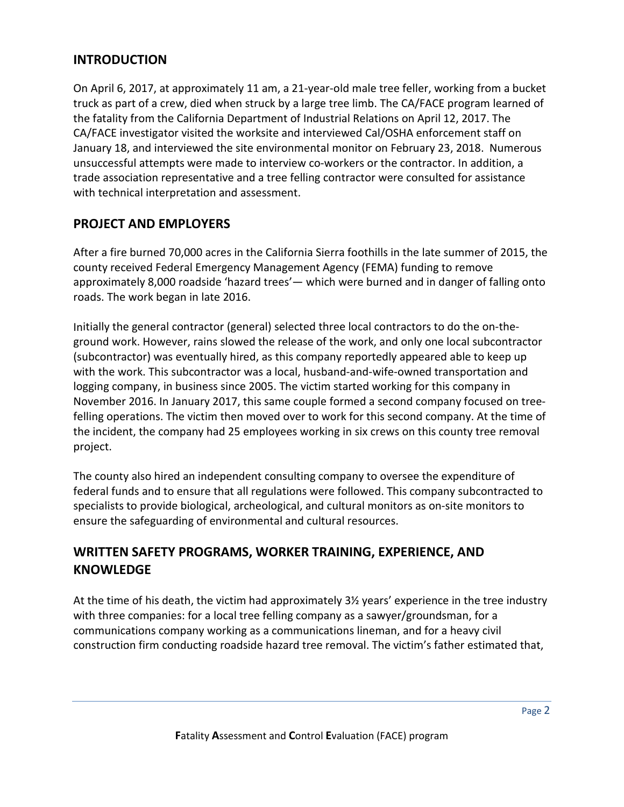### **INTRODUCTION**

On April 6, 2017, at approximately 11 am, a 21-year-old male tree feller, working from a bucket truck as part of a crew, died when struck by a large tree limb. The CA/FACE program learned of the fatality from the California Department of Industrial Relations on April 12, 2017. The CA/FACE investigator visited the worksite and interviewed Cal/OSHA enforcement staff on January 18, and interviewed the site environmental monitor on February 23, 2018. Numerous unsuccessful attempts were made to interview co-workers or the contractor. In addition, a trade association representative and a tree felling contractor were consulted for assistance with technical interpretation and assessment.

## **PROJECT AND EMPLOYERS**

After a fire burned 70,000 acres in the California Sierra foothills in the late summer of 2015, the county received Federal Emergency Management Agency (FEMA) funding to remove approximately 8,000 roadside 'hazard trees'— which were burned and in danger of falling onto roads. The work began in late 2016.

Initially the general contractor (general) selected three local contractors to do the on-theground work. However, rains slowed the release of the work, and only one local subcontractor (subcontractor) was eventually hired, as this company reportedly appeared able to keep up with the work. This subcontractor was a local, husband-and-wife-owned transportation and logging company, in business since 2005. The victim started working for this company in November 2016. In January 2017, this same couple formed a second company focused on treefelling operations. The victim then moved over to work for this second company. At the time of the incident, the company had 25 employees working in six crews on this county tree removal project.

The county also hired an independent consulting company to oversee the expenditure of federal funds and to ensure that all regulations were followed. This company subcontracted to specialists to provide biological, archeological, and cultural monitors as on-site monitors to ensure the safeguarding of environmental and cultural resources.

## **WRITTEN SAFETY PROGRAMS, WORKER TRAINING, EXPERIENCE, AND KNOWLEDGE**

At the time of his death, the victim had approximately 3½ years' experience in the tree industry with three companies: for a local tree felling company as a sawyer/groundsman, for a communications company working as a communications lineman, and for a heavy civil construction firm conducting roadside hazard tree removal. The victim's father estimated that,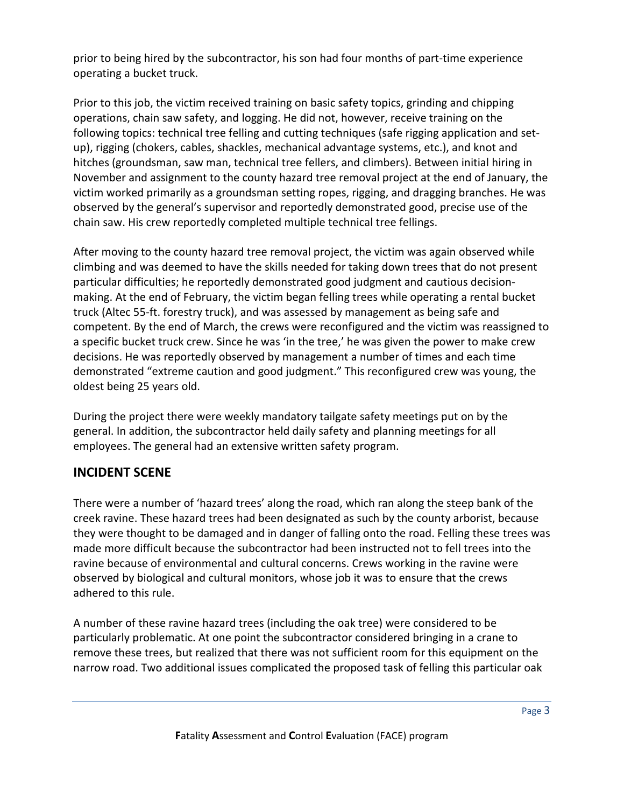prior to being hired by the subcontractor, his son had four months of part-time experience operating a bucket truck.

Prior to this job, the victim received training on basic safety topics, grinding and chipping operations, chain saw safety, and logging. He did not, however, receive training on the following topics: technical tree felling and cutting techniques (safe rigging application and setup), rigging (chokers, cables, shackles, mechanical advantage systems, etc.), and knot and hitches (groundsman, saw man, technical tree fellers, and climbers). Between initial hiring in November and assignment to the county hazard tree removal project at the end of January, the victim worked primarily as a groundsman setting ropes, rigging, and dragging branches. He was observed by the general's supervisor and reportedly demonstrated good, precise use of the chain saw. His crew reportedly completed multiple technical tree fellings.

After moving to the county hazard tree removal project, the victim was again observed while climbing and was deemed to have the skills needed for taking down trees that do not present particular difficulties; he reportedly demonstrated good judgment and cautious decisionmaking. At the end of February, the victim began felling trees while operating a rental bucket truck (Altec 55-ft. forestry truck), and was assessed by management as being safe and competent. By the end of March, the crews were reconfigured and the victim was reassigned to a specific bucket truck crew. Since he was 'in the tree,' he was given the power to make crew decisions. He was reportedly observed by management a number of times and each time demonstrated "extreme caution and good judgment." This reconfigured crew was young, the oldest being 25 years old.

During the project there were weekly mandatory tailgate safety meetings put on by the general. In addition, the subcontractor held daily safety and planning meetings for all employees. The general had an extensive written safety program.

## **INCIDENT SCENE**

There were a number of 'hazard trees' along the road, which ran along the steep bank of the creek ravine. These hazard trees had been designated as such by the county arborist, because they were thought to be damaged and in danger of falling onto the road. Felling these trees was made more difficult because the subcontractor had been instructed not to fell trees into the ravine because of environmental and cultural concerns. Crews working in the ravine were observed by biological and cultural monitors, whose job it was to ensure that the crews adhered to this rule.

A number of these ravine hazard trees (including the oak tree) were considered to be particularly problematic. At one point the subcontractor considered bringing in a crane to remove these trees, but realized that there was not sufficient room for this equipment on the narrow road. Two additional issues complicated the proposed task of felling this particular oak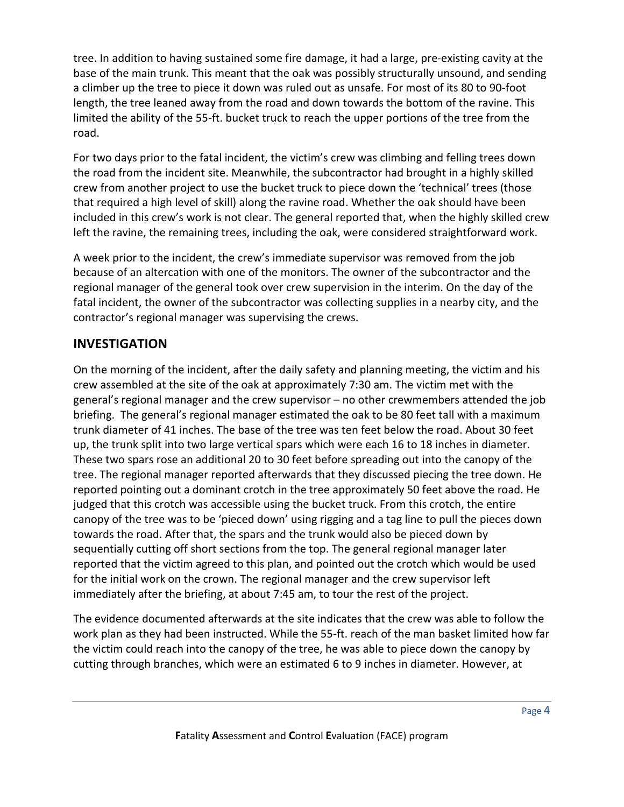tree. In addition to having sustained some fire damage, it had a large, pre-existing cavity at the base of the main trunk. This meant that the oak was possibly structurally unsound, and sending a climber up the tree to piece it down was ruled out as unsafe. For most of its 80 to 90-foot length, the tree leaned away from the road and down towards the bottom of the ravine. This limited the ability of the 55-ft. bucket truck to reach the upper portions of the tree from the road.

For two days prior to the fatal incident, the victim's crew was climbing and felling trees down the road from the incident site. Meanwhile, the subcontractor had brought in a highly skilled crew from another project to use the bucket truck to piece down the 'technical' trees (those that required a high level of skill) along the ravine road. Whether the oak should have been included in this crew's work is not clear. The general reported that, when the highly skilled crew left the ravine, the remaining trees, including the oak, were considered straightforward work.

A week prior to the incident, the crew's immediate supervisor was removed from the job because of an altercation with one of the monitors. The owner of the subcontractor and the regional manager of the general took over crew supervision in the interim. On the day of the fatal incident, the owner of the subcontractor was collecting supplies in a nearby city, and the contractor's regional manager was supervising the crews.

### **INVESTIGATION**

On the morning of the incident, after the daily safety and planning meeting, the victim and his crew assembled at the site of the oak at approximately 7:30 am. The victim met with the general's regional manager and the crew supervisor – no other crewmembers attended the job briefing. The general's regional manager estimated the oak to be 80 feet tall with a maximum trunk diameter of 41 inches. The base of the tree was ten feet below the road. About 30 feet up, the trunk split into two large vertical spars which were each 16 to 18 inches in diameter. These two spars rose an additional 20 to 30 feet before spreading out into the canopy of the tree. The regional manager reported afterwards that they discussed piecing the tree down. He reported pointing out a dominant crotch in the tree approximately 50 feet above the road. He judged that this crotch was accessible using the bucket truck. From this crotch, the entire canopy of the tree was to be 'pieced down' using rigging and a tag line to pull the pieces down towards the road. After that, the spars and the trunk would also be pieced down by sequentially cutting off short sections from the top. The general regional manager later reported that the victim agreed to this plan, and pointed out the crotch which would be used for the initial work on the crown. The regional manager and the crew supervisor left immediately after the briefing, at about 7:45 am, to tour the rest of the project.

The evidence documented afterwards at the site indicates that the crew was able to follow the work plan as they had been instructed. While the 55-ft. reach of the man basket limited how far the victim could reach into the canopy of the tree, he was able to piece down the canopy by cutting through branches, which were an estimated 6 to 9 inches in diameter. However, at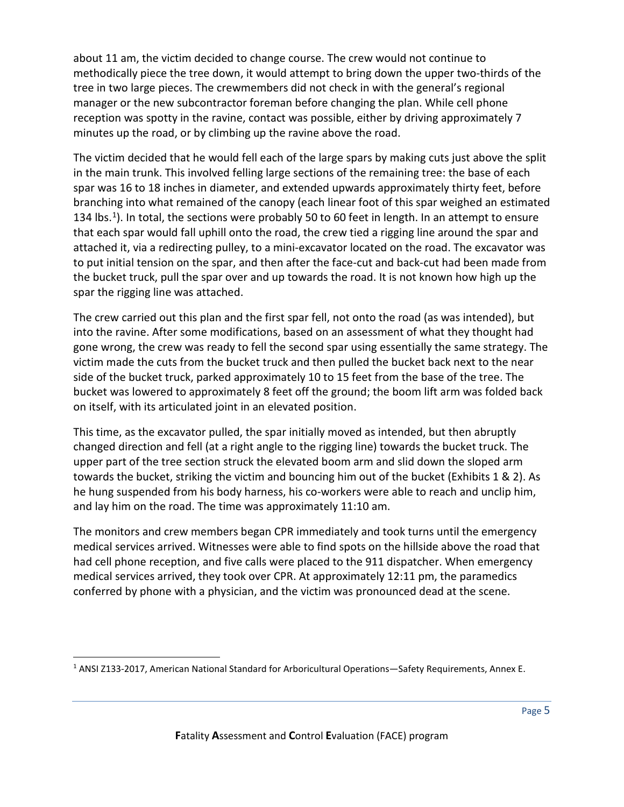about 11 am, the victim decided to change course. The crew would not continue to methodically piece the tree down, it would attempt to bring down the upper two-thirds of the tree in two large pieces. The crewmembers did not check in with the general's regional manager or the new subcontractor foreman before changing the plan. While cell phone reception was spotty in the ravine, contact was possible, either by driving approximately 7 minutes up the road, or by climbing up the ravine above the road.

The victim decided that he would fell each of the large spars by making cuts just above the split in the main trunk. This involved felling large sections of the remaining tree: the base of each spar was 16 to 18 inches in diameter, and extended upwards approximately thirty feet, before branching into what remained of the canopy (each linear foot of this spar weighed an estimated [1](#page-4-0)34 lbs.<sup>1</sup>). In total, the sections were probably 50 to 60 feet in length. In an attempt to ensure that each spar would fall uphill onto the road, the crew tied a rigging line around the spar and attached it, via a redirecting pulley, to a mini-excavator located on the road. The excavator was to put initial tension on the spar, and then after the face-cut and back-cut had been made from the bucket truck, pull the spar over and up towards the road. It is not known how high up the spar the rigging line was attached.

The crew carried out this plan and the first spar fell, not onto the road (as was intended), but into the ravine. After some modifications, based on an assessment of what they thought had gone wrong, the crew was ready to fell the second spar using essentially the same strategy. The victim made the cuts from the bucket truck and then pulled the bucket back next to the near side of the bucket truck, parked approximately 10 to 15 feet from the base of the tree. The bucket was lowered to approximately 8 feet off the ground; the boom lift arm was folded back on itself, with its articulated joint in an elevated position.

This time, as the excavator pulled, the spar initially moved as intended, but then abruptly changed direction and fell (at a right angle to the rigging line) towards the bucket truck. The upper part of the tree section struck the elevated boom arm and slid down the sloped arm towards the bucket, striking the victim and bouncing him out of the bucket (Exhibits 1 & 2). As he hung suspended from his body harness, his co-workers were able to reach and unclip him, and lay him on the road. The time was approximately 11:10 am.

The monitors and crew members began CPR immediately and took turns until the emergency medical services arrived. Witnesses were able to find spots on the hillside above the road that had cell phone reception, and five calls were placed to the 911 dispatcher. When emergency medical services arrived, they took over CPR. At approximately 12:11 pm, the paramedics conferred by phone with a physician, and the victim was pronounced dead at the scene.

<span id="page-4-0"></span><sup>1</sup> ANSI Z133-2017, American National Standard for Arboricultural Operations—Safety Requirements, Annex E.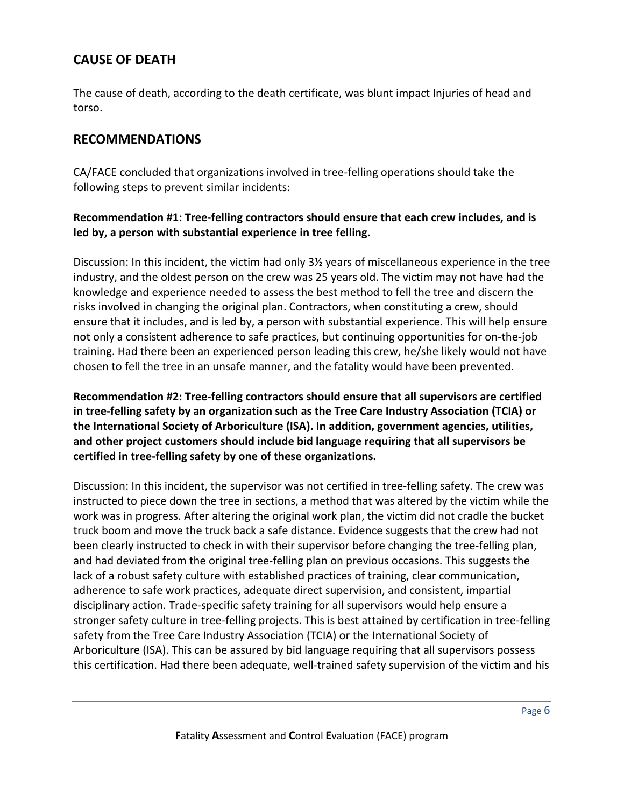### **CAUSE OF DEATH**

The cause of death, according to the death certificate, was blunt impact Injuries of head and torso.

### **RECOMMENDATIONS**

CA/FACE concluded that organizations involved in tree-felling operations should take the following steps to prevent similar incidents:

#### **Recommendation #1: Tree-felling contractors should ensure that each crew includes, and is led by, a person with substantial experience in tree felling.**

Discussion: In this incident, the victim had only 3½ years of miscellaneous experience in the tree industry, and the oldest person on the crew was 25 years old. The victim may not have had the knowledge and experience needed to assess the best method to fell the tree and discern the risks involved in changing the original plan. Contractors, when constituting a crew, should ensure that it includes, and is led by, a person with substantial experience. This will help ensure not only a consistent adherence to safe practices, but continuing opportunities for on-the-job training. Had there been an experienced person leading this crew, he/she likely would not have chosen to fell the tree in an unsafe manner, and the fatality would have been prevented.

**Recommendation #2: Tree-felling contractors should ensure that all supervisors are certified in tree-felling safety by an organization such as the Tree Care Industry Association (TCIA) or the International Society of Arboriculture (ISA). In addition, government agencies, utilities, and other project customers should include bid language requiring that all supervisors be certified in tree-felling safety by one of these organizations.** 

Discussion: In this incident, the supervisor was not certified in tree-felling safety. The crew was instructed to piece down the tree in sections, a method that was altered by the victim while the work was in progress. After altering the original work plan, the victim did not cradle the bucket truck boom and move the truck back a safe distance. Evidence suggests that the crew had not been clearly instructed to check in with their supervisor before changing the tree-felling plan, and had deviated from the original tree-felling plan on previous occasions. This suggests the lack of a robust safety culture with established practices of training, clear communication, adherence to safe work practices, adequate direct supervision, and consistent, impartial disciplinary action. Trade-specific safety training for all supervisors would help ensure a stronger safety culture in tree-felling projects. This is best attained by certification in tree-felling safety from the Tree Care Industry Association (TCIA) or the International Society of Arboriculture (ISA). This can be assured by bid language requiring that all supervisors possess this certification. Had there been adequate, well-trained safety supervision of the victim and his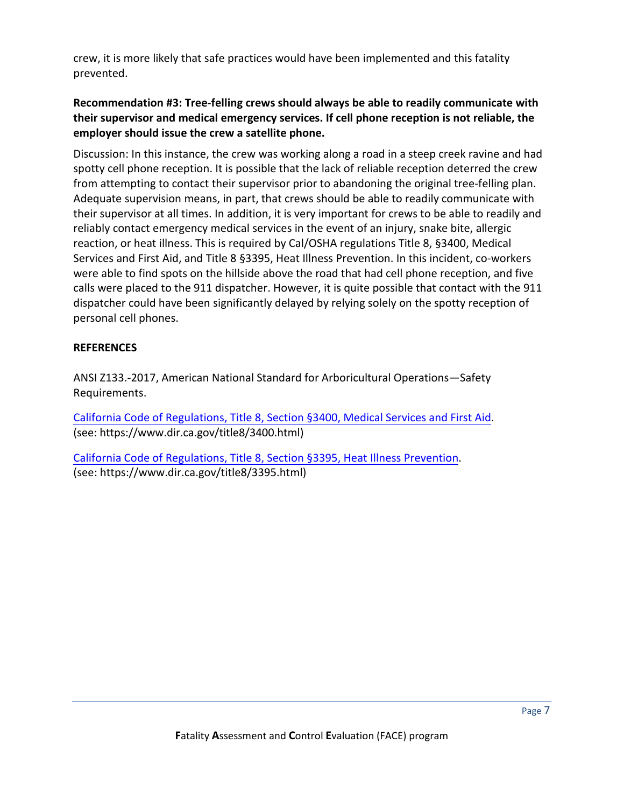crew, it is more likely that safe practices would have been implemented and this fatality prevented.

#### **Recommendation #3: Tree-felling crews should always be able to readily communicate with their supervisor and medical emergency services. If cell phone reception is not reliable, the employer should issue the crew a satellite phone.**

Discussion: In this instance, the crew was working along a road in a steep creek ravine and had spotty cell phone reception. It is possible that the lack of reliable reception deterred the crew from attempting to contact their supervisor prior to abandoning the original tree-felling plan. Adequate supervision means, in part, that crews should be able to readily communicate with their supervisor at all times. In addition, it is very important for crews to be able to readily and reliably contact emergency medical services in the event of an injury, snake bite, allergic reaction, or heat illness. This is required by Cal/OSHA regulations Title 8, §3400, Medical Services and First Aid, and Title 8 §3395, Heat Illness Prevention. In this incident, co-workers were able to find spots on the hillside above the road that had cell phone reception, and five calls were placed to the 911 dispatcher. However, it is quite possible that contact with the 911 dispatcher could have been significantly delayed by relying solely on the spotty reception of personal cell phones.

#### **REFERENCES**

ANSI Z133.-2017, American National Standard for Arboricultural Operations—Safety Requirements.

[California Code of Regulations, Title 8, Section §3400,](https://www.dir.ca.gov/title8/3400.html) Medical Services and First Aid. [\(see: https://www.dir.ca.gov/title8/3400.h](https://www.dir.ca.gov/title8/3400.html)tml)

[California Code of Regulations, Title 8, Section §3395, Heat Illness Prevention](https://www.dir.ca.gov/title8/3395.html). [\(see: https://www.dir.ca.gov/title8/3395.](https://www.dir.ca.gov/title8/3395.html)html)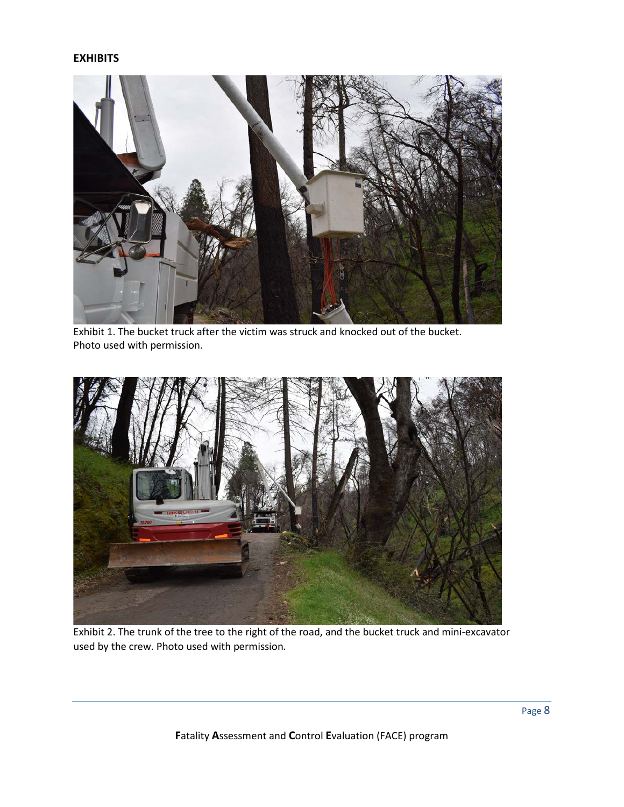#### **EXHIBITS**



Exhibit 1. The bucket truck after the victim was struck and knocked out of the bucket. Photo used with permission.



Exhibit 2. The trunk of the tree to the right of the road, and the bucket truck and mini-excavator used by the crew. Photo used with permission*.*